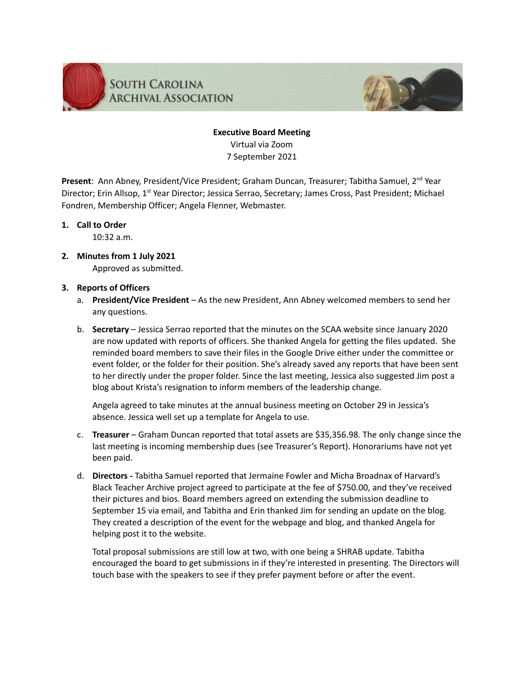

## **Executive Board Meeting** Virtual via Zoom 7 September 2021

Present: Ann Abney, President/Vice President; Graham Duncan, Treasurer; Tabitha Samuel, 2<sup>nd</sup> Year Director; Erin Allsop, 1<sup>st</sup> Year Director; Jessica Serrao, Secretary; James Cross, Past President; Michael Fondren, Membership Officer; Angela Flenner, Webmaster.

## **1. Call to Order**

10:32 a.m.

**2. Minutes from 1 July 2021** Approved as submitted.

## **3. Reports of Officers**

- a. **President/Vice President** As the new President, Ann Abney welcomed members to send her any questions.
- b. **Secretary** Jessica Serrao reported that the minutes on the SCAA website since January 2020 are now updated with reports of officers. She thanked Angela for getting the files updated. She reminded board members to save their files in the Google Drive either under the committee or event folder, or the folder for their position. She's already saved any reports that have been sent to her directly under the proper folder. Since the last meeting, Jessica also suggested Jim post a blog about Krista's resignation to inform members of the leadership change.

Angela agreed to take minutes at the annual business meeting on October 29 in Jessica's absence. Jessica well set up a template for Angela to use.

- c. **Treasurer** Graham Duncan reported that total assets are \$35,356.98. The only change since the last meeting is incoming membership dues (see Treasurer's Report). Honorariums have not yet been paid.
- d. **Directors -** Tabitha Samuel reported that Jermaine Fowler and Micha Broadnax of Harvard's Black Teacher Archive project agreed to participate at the fee of \$750.00, and they've received their pictures and bios. Board members agreed on extending the submission deadline to September 15 via email, and Tabitha and Erin thanked Jim for sending an update on the blog. They created a description of the event for the webpage and blog, and thanked Angela for helping post it to the website.

Total proposal submissions are still low at two, with one being a SHRAB update. Tabitha encouraged the board to get submissions in if they're interested in presenting. The Directors will touch base with the speakers to see if they prefer payment before or after the event.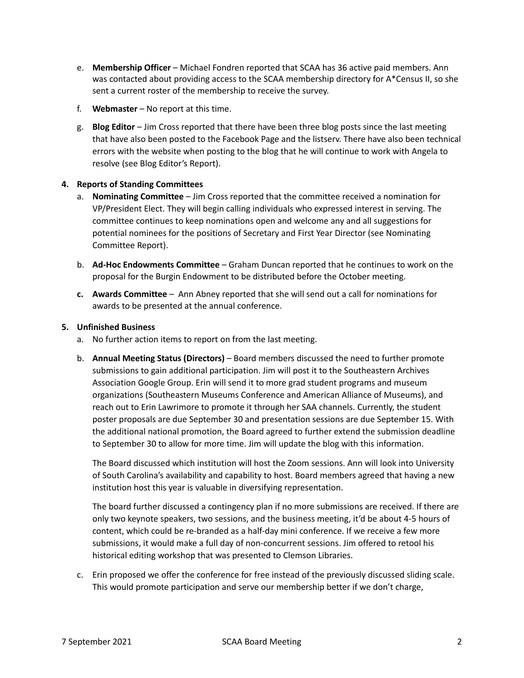- e. **Membership Officer** Michael Fondren reported that SCAA has 36 active paid members. Ann was contacted about providing access to the SCAA membership directory for A\*Census II, so she sent a current roster of the membership to receive the survey.
- f. **Webmaster** No report at this time.
- g. **Blog Editor** Jim Cross reported that there have been three blog posts since the last meeting that have also been posted to the Facebook Page and the listserv. There have also been technical errors with the website when posting to the blog that he will continue to work with Angela to resolve (see Blog Editor's Report).

## **4. Reports of Standing Committees**

- a. **Nominating Committee** Jim Cross reported that the committee received a nomination for VP/President Elect. They will begin calling individuals who expressed interest in serving. The committee continues to keep nominations open and welcome any and all suggestions for potential nominees for the positions of Secretary and First Year Director (see Nominating Committee Report).
- b. **Ad-Hoc Endowments Committee** Graham Duncan reported that he continues to work on the proposal for the Burgin Endowment to be distributed before the October meeting.
- **c. Awards Committee** Ann Abney reported that she will send out a call for nominations for awards to be presented at the annual conference.

### **5. Unfinished Business**

- a. No further action items to report on from the last meeting.
- b. **Annual Meeting Status (Directors)** Board members discussed the need to further promote submissions to gain additional participation. Jim will post it to the Southeastern Archives Association Google Group. Erin will send it to more grad student programs and museum organizations (Southeastern Museums Conference and American Alliance of Museums), and reach out to Erin Lawrimore to promote it through her SAA channels. Currently, the student poster proposals are due September 30 and presentation sessions are due September 15. With the additional national promotion, the Board agreed to further extend the submission deadline to September 30 to allow for more time. Jim will update the blog with this information.

The Board discussed which institution will host the Zoom sessions. Ann will look into University of South Carolina's availability and capability to host. Board members agreed that having a new institution host this year is valuable in diversifying representation.

The board further discussed a contingency plan if no more submissions are received. If there are only two keynote speakers, two sessions, and the business meeting, it'd be about 4-5 hours of content, which could be re-branded as a half-day mini conference. If we receive a few more submissions, it would make a full day of non-concurrent sessions. Jim offered to retool his historical editing workshop that was presented to Clemson Libraries.

c. Erin proposed we offer the conference for free instead of the previously discussed sliding scale. This would promote participation and serve our membership better if we don't charge,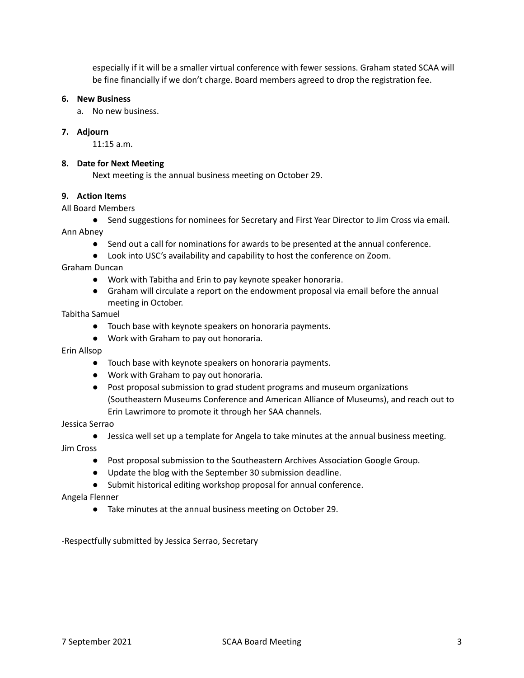especially if it will be a smaller virtual conference with fewer sessions. Graham stated SCAA will be fine financially if we don't charge. Board members agreed to drop the registration fee.

#### **6. New Business**

a. No new business.

## **7. Adjourn**

11:15 a.m.

#### **8. Date for Next Meeting**

Next meeting is the annual business meeting on October 29.

#### **9. Action Items**

#### All Board Members

● Send suggestions for nominees for Secretary and First Year Director to Jim Cross via email.

Ann Abney

- Send out a call for nominations for awards to be presented at the annual conference.
- Look into USC's availability and capability to host the conference on Zoom.

#### Graham Duncan

- Work with Tabitha and Erin to pay keynote speaker honoraria.
- Graham will circulate a report on the endowment proposal via email before the annual meeting in October.

#### Tabitha Samuel

- Touch base with keynote speakers on honoraria payments.
- Work with Graham to pay out honoraria.

Erin Allsop

- Touch base with keynote speakers on honoraria payments.
- Work with Graham to pay out honoraria.
- Post proposal submission to grad student programs and museum organizations (Southeastern Museums Conference and American Alliance of Museums), and reach out to Erin Lawrimore to promote it through her SAA channels.

#### Jessica Serrao

● Jessica well set up a template for Angela to take minutes at the annual business meeting. Jim Cross

- Post proposal submission to the Southeastern Archives Association Google Group.
- Update the blog with the September 30 submission deadline.
- Submit historical editing workshop proposal for annual conference.

#### Angela Flenner

● Take minutes at the annual business meeting on October 29.

-Respectfully submitted by Jessica Serrao, Secretary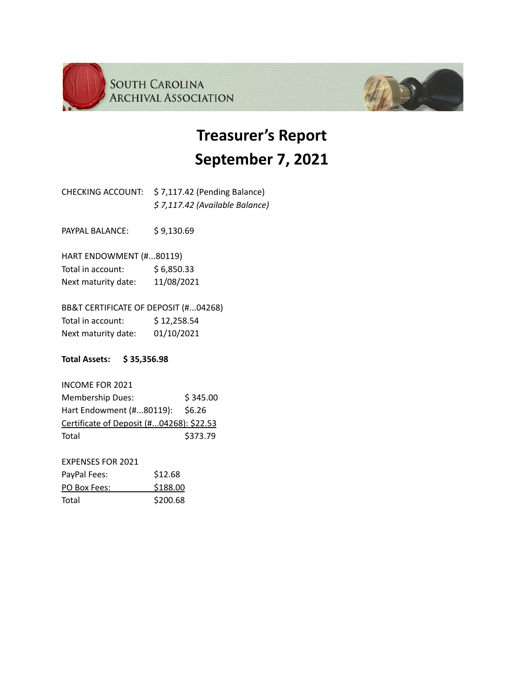



| CHECKING ACCOUNT: \$7,117.42 (Pending Balance) |
|------------------------------------------------|
| $$7,117.42$ (Available Balance)                |

PAYPAL BALANCE: \$9,130.69

HART ENDOWMENT (#...80119) Total in account:  $$6,850.33$ Next maturity date: 11/08/2021

BB&T CERTIFICATE OF DEPOSIT (#...04268) Total in account: \$12,258.54 Next maturity date: 01/10/2021

**Total Assets: \$ 35,356.98**

INCOME FOR 2021 Membership Dues: \$345.00 Hart Endowment (#...80119): \$6.26 Certificate of Deposit (#...04268): \$22.53 Total \$373.79

EXPENSES FOR 2021 PayPal Fees: \$12.68 PO Box Fees: \$188.00 Total \$200.68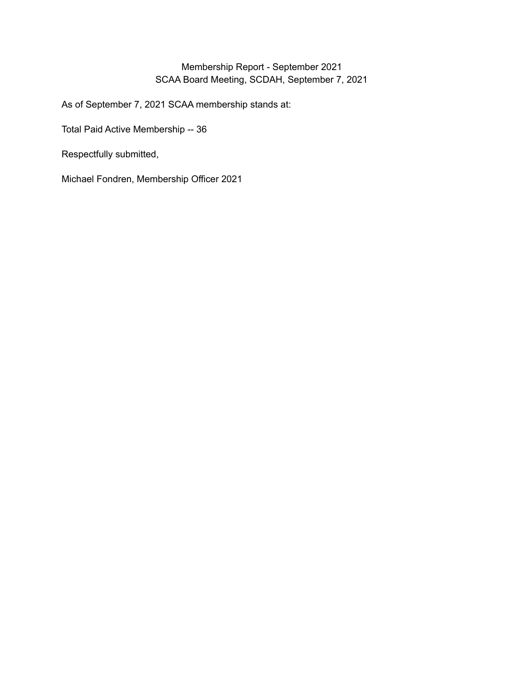# Membership Report - September 2021 SCAA Board Meeting, SCDAH, September 7, 2021

As of September 7, 2021 SCAA membership stands at:

Total Paid Active Membership -- 36

Respectfully submitted,

Michael Fondren, Membership Officer 2021